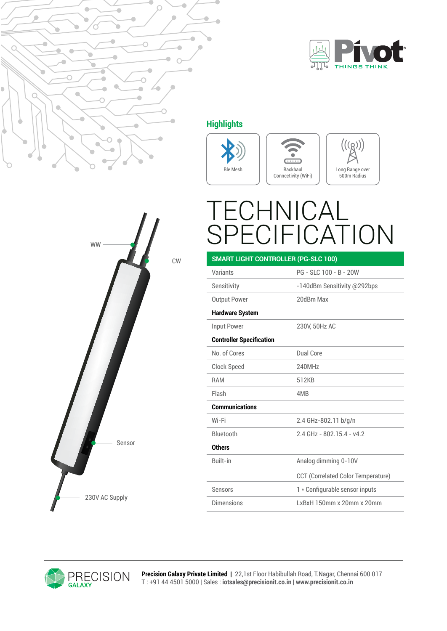



## **Highlights**







## ECHNICAI **FICATION**

| <b>SMART LIGHT CONTROLLER (PG-SLC 100)</b> |                                           |
|--------------------------------------------|-------------------------------------------|
| Variants                                   | PG - SLC 100 - B - 20W                    |
| Sensitivity                                | -140dBm Sensitivity @292bps               |
| <b>Output Power</b>                        | 20dBm Max                                 |
| <b>Hardware System</b>                     |                                           |
| Input Power                                | 230V, 50Hz AC                             |
| <b>Controller Specification</b>            |                                           |
| No. of Cores                               | Dual Core                                 |
| Clock Speed                                | <b>240MHz</b>                             |
| <b>RAM</b>                                 | 512KB                                     |
| Flash                                      | 4M <sub>B</sub>                           |
| <b>Communications</b>                      |                                           |
| Wi-Fi                                      | 2.4 GHz-802.11 b/g/n                      |
| <b>Bluetooth</b>                           | 24 GHz - 802 154 - y42                    |
| <b>Others</b>                              |                                           |
| <b>Built-in</b>                            | Analog dimming 0-10V                      |
|                                            | <b>CCT (Correlated Color Temperature)</b> |
| Sensors                                    | 1 * Configurable sensor inputs            |
| Dimensions                                 | LxBxH 150mm x 20mm x 20mm                 |





**Precision Galaxy Private Limited |** 22,1st Floor Habibullah Road, T.Nagar, Chennai 600 017 T : +91 44 4501 5000 | Sales : **iotsales@precisionit.co.in | www.precisionit.co.in**